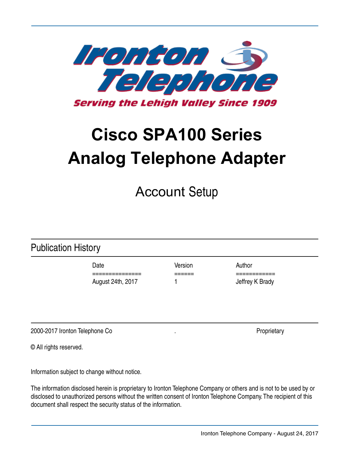

© All rights reserved.

Information subject to change without notice.

document shall respect the security status of the information.

Publication History

Account Setup

Date **Date** Version **Author** 

The information disclosed herein is proprietary to Ironton Telephone Company or others and is not to be used by or disclosed to unauthorized persons without the written consent of Ironton Telephone Company. The recipient of this

=============== ====== ============ August 24th, 2017 1 1 Jeffrey K Brady

# **Cisco SPA100 Series Analog Telephone Adapter**

Tencon S **Serving the Lehigh Valley Since 1909** 

Ironton Telephone Company - August 24, 2017

2000-2017 Ironton Telephone Co . Proprietary . Proprietary .